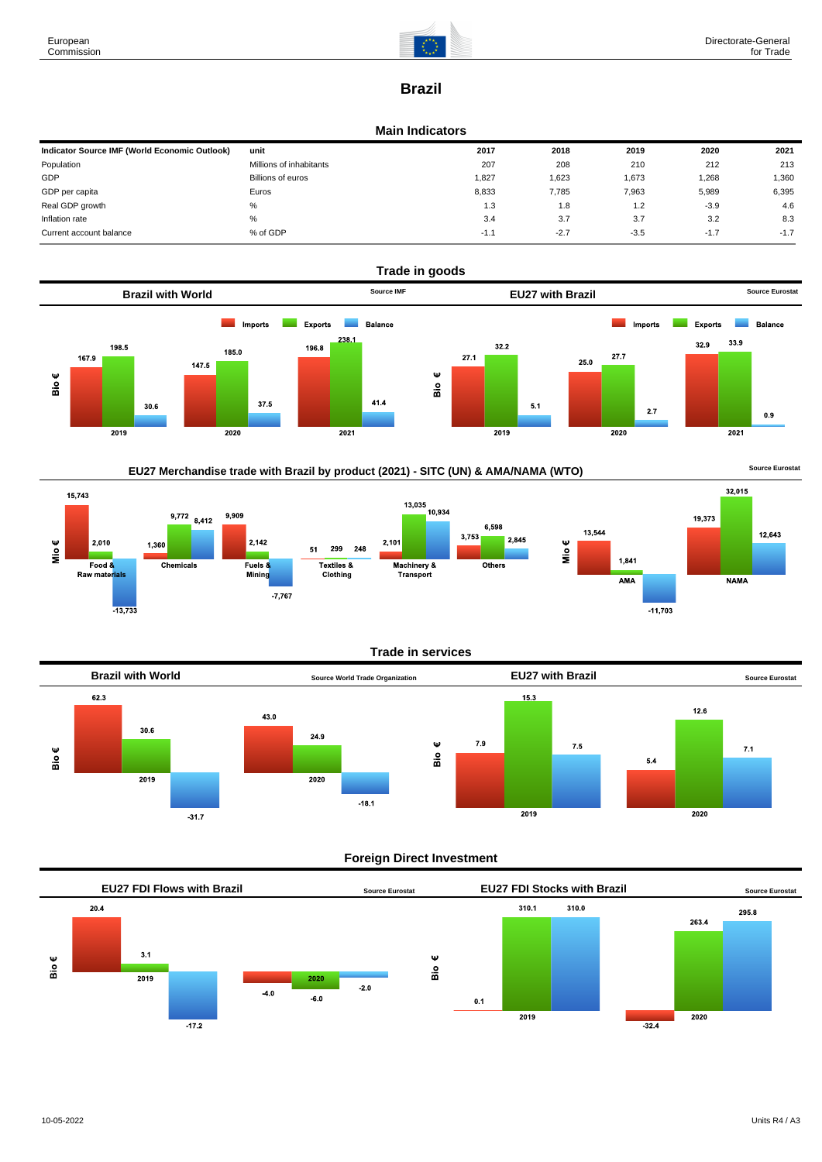

# **Brazil**

#### **Main Indicators**

| Indicator Source IMF (World Economic Outlook) | unit                    | 2017   | 2018   | 2019   | 2020   | 2021   |
|-----------------------------------------------|-------------------------|--------|--------|--------|--------|--------|
| Population                                    | Millions of inhabitants | 207    | 208    | 210    | 212    | 213    |
| GDP                                           | Billions of euros       | 1.827  | 1,623  | 1,673  | 1,268  | 1,360  |
| GDP per capita                                | Euros                   | 8.833  | 7.785  | 7,963  | 5,989  | 6,395  |
| Real GDP growth                               | %                       | 1.3    | 1.8    | 1.2    | $-3.9$ | 4.6    |
| Inflation rate                                | %                       | 3.4    | 3.7    | 3.7    | 3.2    | 8.3    |
| Current account balance                       | % of GDP                | $-1.1$ | $-2.7$ | $-3.5$ | $-1.7$ | $-1.7$ |





### **Trade in services**



### **Foreign Direct Investment**